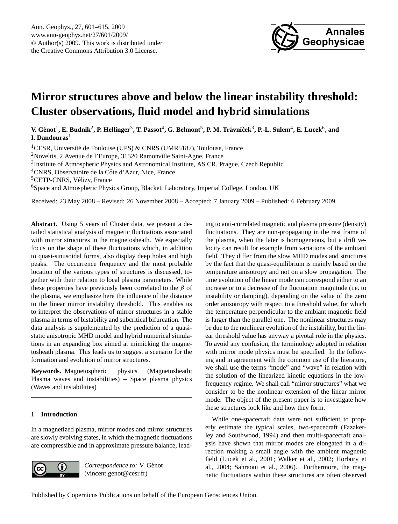

# <span id="page-0-0"></span>**Mirror structures above and below the linear instability threshold: Cluster observations, fluid model and hybrid simulations**

 $V$ . Génot<sup>1</sup>, E. Budnik<sup>2</sup>, P. Hellinger<sup>3</sup>, T. Passot<sup>4</sup>, G. Belmont<sup>5</sup>, P. M. Trávníček $^3$ , P.-L. Sulem $^4$ , E. Lucek $^6$ , and **I. Dandouras**<sup>1</sup>

<sup>1</sup>CESR, Université de Toulouse (UPS) & CNRS (UMR5187), Toulouse, France

<sup>2</sup>Noveltis, 2 Avenue de l'Europe, 31520 Ramonville Saint-Agne, France

<sup>3</sup>Institute of Atmospheric Physics and Astronomical Institute, AS CR, Prague, Czech Republic

<sup>4</sup>CNRS, Observatoire de la Côte d'Azur, Nice, France

<sup>5</sup>CETP-CNRS, Vélizy, France

<sup>6</sup>Space and Atmospheric Physics Group, Blackett Laboratory, Imperial College, London, UK

Received: 23 May 2008 – Revised: 26 November 2008 – Accepted: 7 January 2009 – Published: 6 February 2009

**Abstract.** Using 5 years of Cluster data, we present a detailed statistical analysis of magnetic fluctuations associated with mirror structures in the magnetosheath. We especially focus on the shape of these fluctuations which, in addition to quasi-sinusoidal forms, also display deep holes and high peaks. The occurrence frequency and the most probable location of the various types of structures is discussed, together with their relation to local plasma parameters. While these properties have previously been correlated to the  $\beta$  of the plasma, we emphasize here the influence of the distance to the linear mirror instability threshold. This enables us to interpret the observations of mirror structures in a stable plasma in terms of bistability and subcritical bifurcation. The data analysis is supplemented by the prediction of a quasistatic anisotropic MHD model and hybrid numerical simulations in an expanding box aimed at mimicking the magnetosheath plasma. This leads us to suggest a scenario for the formation and evolution of mirror structures.

**Keywords.** Magnetospheric physics (Magnetosheath; Plasma waves and instabilities) – Space plasma physics (Waves and instabilities)

# **1 Introduction**

In a magnetized plasma, mirror modes and mirror structures are slowly evolving states, in which the magnetic fluctuations are compressible and in approximate pressure balance, lead-



Correspondence to: V. Génot (vincent.genot@cesr.fr)

ing to anti-correlated magnetic and plasma pressure (density) fluctuations. They are non-propagating in the rest frame of the plasma, when the later is homogeneous, but a drift velocity can result for example from variations of the ambiant field. They differ from the slow MHD modes and structures by the fact that the quasi-equilibrium is mainly based on the temperature anisotropy and not on a slow propagation. The time evolution of the linear mode can correspond either to an increase or to a decrease of the fluctuation magnitude (i.e. to instability or damping), depending on the value of the zero order anisotropy with respect to a threshold value, for which the temperature perpendicular to the ambiant magnetic field is larger than the parallel one. The nonlinear structures may be due to the nonlinear evolution of the instability, but the linear threshold value has anyway a pivotal role in the physics. To avoid any confusion, the terminology adopted in relation with mirror mode physics must be specified. In the following and in agreement with the common use of the literature, we shall use the terms "mode" and "wave" in relation with the solution of the linearized kinetic equations in the lowfrequency regime. We shall call "mirror structures" what we consider to be the nonlinear extension of the linear mirror mode. The object of the present paper is to investigate how these structures look like and how they form.

While one-spacecraft data were not sufficient to properly estimate the typical scales, two-spacecraft [\(Fazaker](#page-13-0)[ley and Southwood,](#page-13-0) [1994\)](#page-13-0) and then multi-spacecraft analysis have shown that mirror modes are elongated in a direction making a small angle with the ambient magnetic field [\(Lucek et al.,](#page-13-1) [2001;](#page-13-1) [Walker et al.,](#page-14-0) [2002;](#page-14-0) [Horbury et](#page-13-2) [al.,](#page-13-2) [2004;](#page-13-2) [Sahraoui et al.,](#page-14-1) [2006\)](#page-14-1). Furthermore, the magnetic fluctuations within these structures are often observed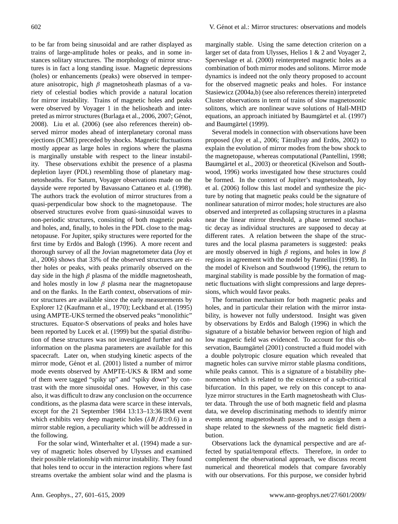to be far from being sinusoidal and are rather displayed as trains of large-amplitude holes or peaks, and in some instances solitary structures. The morphology of mirror structures is in fact a long standing issue. Magnetic depressions (holes) or enhancements (peaks) were observed in temperature anisotropic, high  $\beta$  magnetosheath plasmas of a variety of celestial bodies which provide a natural location for mirror instability. Trains of magnetic holes and peaks were observed by Voyager 1 in the heliosheath and inter-preted as mirror structures [\(Burlaga et al.,](#page-13-3) [2006,](#page-13-3) [2007;](#page-13-4) Génot, [2008\)](#page-13-5). [Liu et al.](#page-13-6) [\(2006\)](#page-13-6) (see also references therein) observed mirror modes ahead of interplanetary coronal mass ejections (ICME) preceded by shocks. Magnetic fluctuations mostly appear as large holes in regions where the plasma is marginally unstable with respect to the linear instability. These observations exhibit the presence of a plasma depletion layer (PDL) resembling those of planetary magnetosheaths. For Saturn, Voyager observations made on the dayside were reported by [Bavassano Cattaneo et al.](#page-13-7) [\(1998\)](#page-13-7). The authors track the evolution of mirror structures from a quasi-perpendicular bow shock to the magnetopause. The observed structures evolve from quasi-sinusoidal waves to non-periodic structures, consisting of both magnetic peaks and holes, and, finally, to holes in the PDL close to the magnetopause. For Jupiter, spiky structures were reported for the first time by Erdös and Balogh [\(1996\)](#page-13-8). A more recent and thorough survey of all the Jovian magnetometer data [\(Joy et](#page-13-9) [al.,](#page-13-9) [2006\)](#page-13-9) shows that 33% of the observed structures are either holes or peaks, with peaks primarily observed on the day side in the high  $\beta$  plasma of the middle magnetosheath, and holes mostly in low  $\beta$  plasma near the magnetopause and on the flanks. In the Earth context, observations of mirror structures are available since the early measurements by Explorer 12 [\(Kaufmann et al.,](#page-13-10) [1970\)](#page-13-10); [Leckband et al.](#page-13-11) [\(1995\)](#page-13-11) using AMPTE-UKS termed the observed peaks "monolithic" structures. Equator-S observations of peaks and holes have been reported by [Lucek et al.](#page-13-12) [\(1999\)](#page-13-12) but the spatial distribution of these structures was not investigated further and no information on the plasma parameters are available for this spacecraft. Later on, when studying kinetic aspects of the mirror mode, Génot et al. [\(2001\)](#page-13-13) listed a number of mirror mode events observed by AMPTE-UKS & IRM and some of them were tagged "spiky up" and "spiky down" by contrast with the more sinusoidal ones. However, in this case also, it was difficult to draw any conclusion on the occurrence conditions, as the plasma data were scarce in these intervals, except for the 21 September 1984 13:13–13:36 IRM event which exhibits very deep magnetic holes  $(\delta B/B \simeq 0.6)$  in a mirror stable region, a peculiarity which will be addressed in the following.

For the solar wind, [Winterhalter et al.](#page-14-2) [\(1994\)](#page-14-2) made a survey of magnetic holes observed by Ulysses and examined their possible relationship with mirror instability. They found that holes tend to occur in the interaction regions where fast streams overtake the ambient solar wind and the plasma is marginally stable. Using the same detection criterion on a larger set of data from Ulysses, Helios 1 & 2 and Voyager 2, [Sperveslage et al.](#page-14-3) [\(2000\)](#page-14-3) reinterpreted magnetic holes as a combination of both mirror modes and solitons. Mirror mode dynamics is indeed not the only theory proposed to account for the observed magnetic peaks and holes. For instance [Stasiewicz](#page-14-4) [\(2004a](#page-14-4)[,b\)](#page-14-5) (see also references therein) interpreted Cluster observations in term of trains of slow magnetosonic solitons, which are nonlinear wave solutions of Hall-MHD equations, an approach initiated by Baumgärtel et al. [\(1997\)](#page-12-0) and Baumgärtel [\(1999\)](#page-12-1).

Several models in connection with observations have been proposed [\(Joy et al.,](#page-13-9) [2006;](#page-13-9) Tátrallyay and Erdös, [2002\)](#page-14-6) to explain the evolution of mirror modes from the bow shock to the magnetopause, whereas computational [\(Pantellini,](#page-14-7) [1998;](#page-14-7) Baumgärtel et al., [2003\)](#page-13-14) or theoretical [\(Kivelson and South](#page-13-15)[wood,](#page-13-15) [1996\)](#page-13-15) works investigated how these structures could be formed. In the context of Jupiter's magnetosheath, [Joy](#page-13-9) [et al.](#page-13-9) [\(2006\)](#page-13-9) follow this last model and synthesize the picture by noting that magnetic peaks could be the signature of nonlinear saturation of mirror modes; hole structures are also observed and interpreted as collapsing structures in a plasma near the linear mirror threshold, a phase termed stochastic decay as individual structures are supposed to decay at different rates. A relation between the shape of the structures and the local plasma parameters is suggested: peaks are mostly observed in high  $\beta$  regions, and holes in low  $\beta$ regions in agreement with the model by [Pantellini](#page-14-7) [\(1998\)](#page-14-7). In the model of [Kivelson and Southwood](#page-13-15) [\(1996\)](#page-13-15), the return to marginal stability is made possible by the formation of magnetic fluctuations with slight compressions and large depressions, which would favor peaks.

The formation mechanism for both magnetic peaks and holes, and in particular their relation with the mirror instability, is however not fully understood. Insight was given by observations by Erdös and Balogh [\(1996\)](#page-13-8) in which the signature of a bistable behavior between region of high and low magnetic field was evidenced. To account for this ob-servation, Baumgärtel [\(2001\)](#page-13-16) constructed a fluid model with a double polytropic closure equation which revealed that magnetic holes can survive mirror stable plasma conditions, while peaks cannot. This is a signature of a bistability phenomenon which is related to the existence of a sub-critical bifurcation. In this paper, we rely on this concept to analyze mirror structures in the Earth magnetosheath with Cluster data. Through the use of both magnetic field and plasma data, we develop discriminating methods to identify mirror events among magnetosheath passes and to assign them a shape related to the skewness of the magnetic field distribution.

Observations lack the dynamical perspective and are affected by spatial/temporal effects. Therefore, in order to complement the observational approach, we discuss recent numerical and theoretical models that compare favorably with our observations. For this purpose, we consider hybrid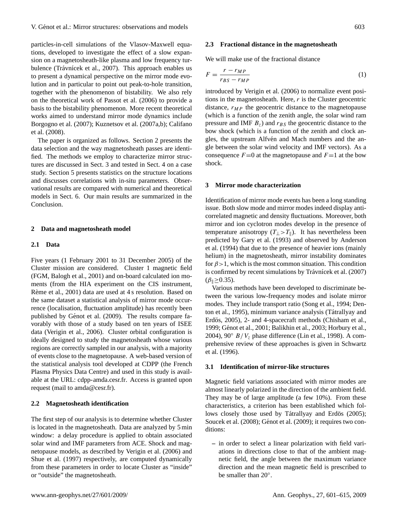particles-in-cell simulations of the Vlasov-Maxwell equations, developed to investigate the effect of a slow expansion on a magnetosheath-like plasma and low frequency tur-bulence (Trávnícek et al., [2007\)](#page-14-8). This approach enables us to present a dynamical perspective on the mirror mode evolution and in particular to point out peak-to-hole transition, together with the phenomenon of bistability. We also rely on the theoretical work of [Passot et al.](#page-14-9) [\(2006\)](#page-14-9) to provide a basis to the bistability phenomenon. More recent theoretical works aimed to understand mirror mode dynamics include [Borgogno et al.](#page-13-17) [\(2007\)](#page-13-17); [Kuznetsov et al.](#page-13-18) [\(2007a,](#page-13-18)[b\)](#page-13-19); [Califano](#page-13-20) [et al.](#page-13-20) [\(2008\)](#page-13-20).

The paper is organized as follows. Section 2 presents the data selection and the way magnetosheath passes are identified. The methods we employ to characterize mirror structures are discussed in Sect. 3 and tested in Sect. 4 on a case study. Section 5 presents statistics on the structure locations and discusses correlations with in-situ parameters. Observational results are compared with numerical and theoretical models in Sect. 6. Our main results are summarized in the Conclusion.

# **2 Data and magnetosheath model**

# **2.1 Data**

Five years (1 February 2001 to 31 December 2005) of the Cluster mission are considered. Cluster 1 magnetic field (FGM, [Balogh et al.,](#page-12-2) [2001\)](#page-12-2) and on-board calculated ion moments (from the HIA experiment on the CIS instrument, Rème et al., [2001\)](#page-14-10) data are used at 4 s resolution. Based on the same dataset a statistical analysis of mirror mode occurrence (localisation, fluctuation amplitude) has recently been published by Génot et al. [\(2009\)](#page-13-21). The results compare favorably with those of a study based on ten years of ISEE data [\(Verigin et al.,](#page-14-11) [2006\)](#page-14-11). Cluster orbital configuration is ideally designed to study the magnetosheath whose various regions are correctly sampled in our analysis, with a majority of events close to the magnetopause. A web-based version of the statistical analysis tool developed at CDPP (the French Plasma Physics Data Centre) and used in this study is available at the URL: [cdpp-amda.cesr.fr.](cdpp-amda.cesr.fr) Access is granted upon request (mail to amda@cesr.fr).

# **2.2 Magnetosheath identification**

The first step of our analysis is to determine whether Cluster is located in the magnetosheath. Data are analyzed by 5 min window: a delay procedure is applied to obtain associated solar wind and IMF parameters from ACE. Shock and magnetopause models, as described by [Verigin et al.](#page-14-11) [\(2006\)](#page-14-11) and [Shue et al.](#page-14-12) [\(1997\)](#page-14-12) respectively, are computed dynamically from these parameters in order to locate Cluster as "inside" or "outside" the magnetosheath.

# **2.3 Fractional distance in the magnetosheath**

We will make use of the fractional distance

<span id="page-2-0"></span>
$$
F = \frac{r - r_{MP}}{r_{BS} - r_{MP}}
$$
 (1)

introduced by [Verigin et al.](#page-14-11) [\(2006\)](#page-14-11) to normalize event positions in the magnetosheath. Here,  $r$  is the Cluster geocentric distance,  $r_{MP}$  the geocentric distance to the magnetopause (which is a function of the zenith angle, the solar wind ram pressure and IMF  $B_z$ ) and  $r_{BS}$  the geocentric distance to the bow shock (which is a function of the zenith and clock angles, the upstream Alfvén and Mach numbers and the angle between the solar wind velocity and IMF vectors). As a consequence  $F=0$  at the magnetopause and  $F=1$  at the bow shock.

#### **3 Mirror mode characterization**

Identification of mirror mode events has been a long standing issue. Both slow mode and mirror modes indeed display anticorrelated magnetic and density fluctuations. Moreover, both mirror and ion cyclotron modes develop in the presence of temperature anisotropy  $(T_{\perp} > T_{\parallel})$ . It has nevertheless been predicted by [Gary et al.](#page-13-22) [\(1993\)](#page-13-22) and observed by [Anderson](#page-12-3) [et al.](#page-12-3) [\(1994\)](#page-12-3) that due to the presence of heavier ions (mainly helium) in the magnetosheath, mirror instability dominates for  $\beta > 1$ , which is the most common situation. This condition is confirmed by recent simulations by Trávnícek et al. [\(2007\)](#page-14-8)  $(\beta$ <sub>||</sub> $\geq$ 0.35).

Various methods have been developed to discriminate between the various low-frequency modes and isolate mirror modes. They include transport ratio [\(Song et al.,](#page-14-13) [1994;](#page-14-13) [Den](#page-13-23)[ton et al.,](#page-13-23) [1995\)](#page-13-23), minimum variance analysis (Tátrallyay and Erdös, [2005\)](#page-14-14), 2- and 4-spacecraft methods [\(Chisham et al.,](#page-13-24) [1999;](#page-13-24) Génot et al., [2001;](#page-13-13) [Balikhin et al.,](#page-12-4) [2003;](#page-12-4) [Horbury et al.,](#page-13-2) [2004\)](#page-13-2), 90 $\degree$  B/V<sub>z</sub> phase difference [\(Lin et al.,](#page-13-25) [1998\)](#page-13-25). A comprehensive review of these approaches is given in [Schwartz](#page-14-15) [et al.](#page-14-15) [\(1996\)](#page-14-15).

# **3.1 Identification of mirror-like structures**

Magnetic field variations associated with mirror modes are almost linearly polarized in the direction of the ambient field. They may be of large amplitude (a few 10%). From these characteristics, a criterion has been established which fol-lows closely those used by Tátrallyay and Erdös [\(2005\)](#page-14-14); [Soucek et al.](#page-14-16) [\(2008\)](#page-14-16); Génot et al. [\(2009\)](#page-13-21); it requires two conditions:

**–** in order to select a linear polarization with field variations in directions close to that of the ambient magnetic field, the angle between the maximum variance direction and the mean magnetic field is prescribed to be smaller than 20°.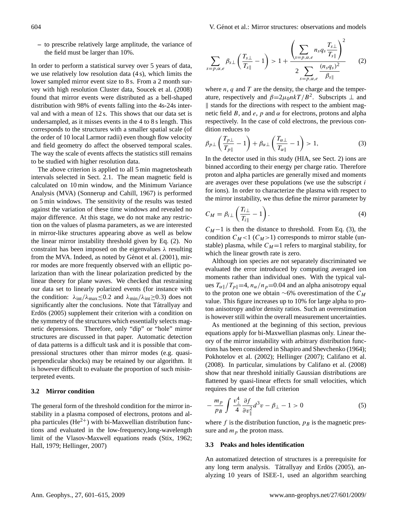**–** to prescribe relatively large amplitude, the variance of the field must be larger than 10%.

In order to perform a statistical survey over 5 years of data, we use relatively low resolution data (4 s), which limits the lower sampled mirror event size to 8 s. From a 2 month survey with high resolution Cluster data, [Soucek et al.](#page-14-16) [\(2008\)](#page-14-16) found that mirror events were distributed as a bell-shaped distribution with 98% of events falling into the 4s-24s interval and with a mean of 12 s. This shows that our data set is undersampled, as it misses events in the 4 to 8 s length. This corresponds to the structures with a smaller spatial scale (of the order of 10 local Larmor radii) even though flow velocity and field geometry do affect the observed temporal scales. The way the scale of events affects the statistics still remains to be studied with higher resolution data.

The above criterion is applied to all 5 min magnetosheath intervals selected in Sect. 2.1. The mean magnetic field is calculated on 10 min window, and the Minimum Variance Analysis (MVA) [\(Sonnerup and Cahill,](#page-14-17) [1967\)](#page-14-17) is performed on 5 min windows. The sensitivity of the results was tested against the variation of these time windows and revealed no major difference. At this stage, we do not make any restriction on the values of plasma parameters, as we are interested in mirror-like structures appearing above as well as below the linear mirror instability threshold given by Eq. (2). No constraint has been imposed on the eigenvalues  $\lambda$  resulting from the MVA. Indeed, as noted by Génot et al. [\(2001\)](#page-13-13), mirror modes are more frequently observed with an elliptic polarization than with the linear polarization predicted by the linear theory for plane waves. We checked that restraining our data set to linearly polarized events (for instance with the condition:  $\lambda_{int}/\lambda_{max} \leq 0.2$  and  $\lambda_{min}/\lambda_{int} \geq 0.3$ ) does not significantly alter the conclusions. Note that [Tatrallyay and](#page-14-14) Erdös [\(2005\)](#page-14-14) supplement their criterion with a condition on the symmetry of the structures which essentially selects magnetic depressions. Therefore, only "dip" or "hole" mirror structures are discussed in that paper. Automatic detection of data patterns is a difficult task and it is possible that compressional structures other than mirror modes (e.g. quasiperpendicular shocks) may be retained by our algorithm. It is however difficult to evaluate the proportion of such misinterpreted events.

# **3.2 Mirror condition**

The general form of the threshold condition for the mirror instability in a plasma composed of electrons, protons and alpha particules ( $He^{2+}$ ) with bi-Maxwellian distribution functions and evaluated in the low-frequency,long-wavelength limit of the Vlasov-Maxwell equations reads [\(Stix,](#page-14-18) [1962;](#page-14-18) [Hall,](#page-13-26) [1979;](#page-13-26) [Hellinger,](#page-13-27) [2007\)](#page-13-27)

<span id="page-3-2"></span>
$$
\sum_{s=p,\alpha,e} \beta_{s\perp} \left( \frac{T_{s\perp}}{T_{s\parallel}} - 1 \right) > 1 + \frac{\left( \sum_{s=p,\alpha,e} n_s q_s \frac{T_{s\perp}}{T_{s\parallel}} \right)^2}{2 \sum_{s=p,\alpha,e} \frac{(n_s q_s)^2}{\beta_{s\parallel}}} \qquad (2)
$$

where  $n$ ,  $q$  and  $T$  are the density, the charge and the temperature, respectively and  $\beta = 2\mu_0 n kT / B^2$ . Subscripts  $\perp$  and  $\parallel$  stands for the directions with respect to the ambient magnetic field B, and e, p and  $\alpha$  for electrons, protons and alpha respectively. In the case of cold electrons, the previous condition reduces to

<span id="page-3-0"></span>
$$
\beta_{p\perp} \left( \frac{T_{p\perp}}{T_{p\parallel}} - 1 \right) + \beta_{\alpha\perp} \left( \frac{T_{\alpha\perp}}{T_{\alpha\parallel}} - 1 \right) > 1, \tag{3}
$$

In the detector used in this study (HIA, see Sect. 2) ions are binned according to their energy per charge ratio. Therefore proton and alpha particles are generally mixed and moments are averages over these populations (we use the subscript i for ions). In order to characterize the plasma with respect to the mirror instability, we thus define the mirror parameter by

<span id="page-3-1"></span>
$$
C_M = \beta_i \perp \left( \frac{T_{i\perp}}{T_{i\parallel}} - 1 \right). \tag{4}
$$

 $C_M-1$  is then the distance to threshold. From Eq. [\(3\)](#page-3-0), the condition  $C_M$ <1 ( $C_M$ >1) corresponds to mirror stable (unstable) plasma, while  $C_M=1$  refers to marginal stability, for which the linear growth rate is zero.

Although ion species are not separately discriminated we evaluated the error introduced by computing averaged ion moments rather than individual ones. With the typical values  $T_{\alpha}$  /  $T_{p\parallel}=4$ ,  $n_{\alpha}/n_{p}=0.04$  and an alpha anisotropy equal to the proton one we obtain ∼6% overestimation of the  $C_M$ value. This figure increases up to 10% for large alpha to proton anisotropy and/or density ratios. Such an overestimation is however still within the overall measurement uncertainties.

As mentioned at the beginning of this section, previous equations apply for bi-Maxwellian plasmas only. Linear theory of the mirror instability with arbitrary distribution functions has been considered in [Shapiro and Shevchenko](#page-14-19) [\(1964\)](#page-14-19); [Pokhotelov et al.](#page-14-20) [\(2002\)](#page-14-20); [Hellinger](#page-13-27) [\(2007\)](#page-13-27); [Califano et al.](#page-13-20) [\(2008\)](#page-13-20). In particular, simulations by [Califano et al.](#page-13-20) [\(2008\)](#page-13-20) show that near threshold initially Gaussian distributions are flattened by quasi-linear effects for small velocities, which requires the use of the full criterion

$$
-\frac{m_p}{p_B} \int \frac{v_\perp^4}{4} \frac{\partial f}{\partial v_\parallel^2} d^3v - \beta_\perp - 1 > 0 \tag{5}
$$

where f is the distribution function,  $p_B$  is the magnetic pressure and  $m_p$  the proton mass.

# **3.3 Peaks and holes identification**

An automatized detection of structures is a prerequisite for any long term analysis. Tátrallyay and Erdös [\(2005\)](#page-14-14), analyzing 10 years of ISEE-1, used an algorithm searching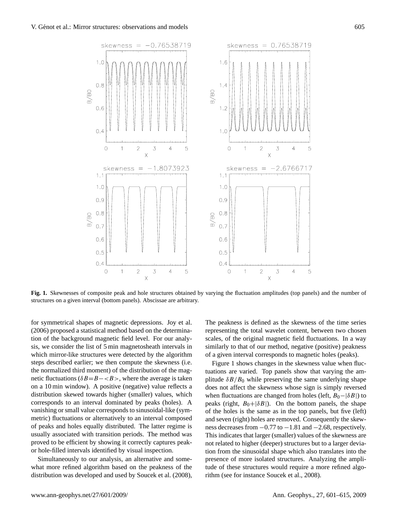

<span id="page-4-0"></span>**Fig. 1.** Skewnesses of composite peak and hole structures obtained by varying the fluctuation amplitudes (top panels) and the number of structures on a given interval (bottom panels). Abscissae are arbitrary.

for symmetrical shapes of magnetic depressions. [Joy et al.](#page-13-9) [\(2006\)](#page-13-9) proposed a statistical method based on the determination of the background magnetic field level. For our analysis, we consider the list of 5 min magnetosheath intervals in which mirror-like structures were detected by the algorithm steps described earlier; we then compute the skewness (i.e. the normalized third moment) of the distribution of the magnetic fluctuations ( $\delta B = B - \langle B \rangle$ , where the average is taken on a 10 min window). A positive (negative) value reflects a distribution skewed towards higher (smaller) values, which corresponds to an interval dominated by peaks (holes). A vanishing or small value corresponds to sinusoidal-like (symmetric) fluctuations or alternatively to an interval composed of peaks and holes equally distributed. The latter regime is usually associated with transition periods. The method was proved to be efficient by showing it correctly captures peakor hole-filled intervals identified by visual inspection.

Simultaneously to our analysis, an alternative and somewhat more refined algorithm based on the peakness of the distribution was developed and used by [Soucek et al.](#page-14-16) [\(2008\)](#page-14-16), The peakness is defined as the skewness of the time series representing the total wavelet content, between two chosen scales, of the original magnetic field fluctuations. In a way similarly to that of our method, negative (positive) peakness of a given interval corresponds to magnetic holes (peaks).

Figure [1](#page-4-0) shows changes in the skewness value when fluctuations are varied. Top panels show that varying the amplitude  $\delta B/B_0$  while preserving the same underlying shape does not affect the skewness whose sign is simply reversed when fluctuations are changed from holes (left,  $B_0-\delta B$ ) to peaks (right,  $B_0 + |\delta B|$ ). On the bottom panels, the shape of the holes is the same as in the top panels, but five (left) and seven (right) holes are removed. Consequently the skewness decreases from  $-0.77$  to  $-1.81$  and  $-2.68$ , respectively. This indicates that larger (smaller) values of the skewness are not related to higher (deeper) structures but to a larger deviation from the sinusoidal shape which also translates into the presence of more isolated structures. Analyzing the amplitude of these structures would require a more refined algorithm (see for instance [Soucek et al.,](#page-14-16) [2008\)](#page-14-16).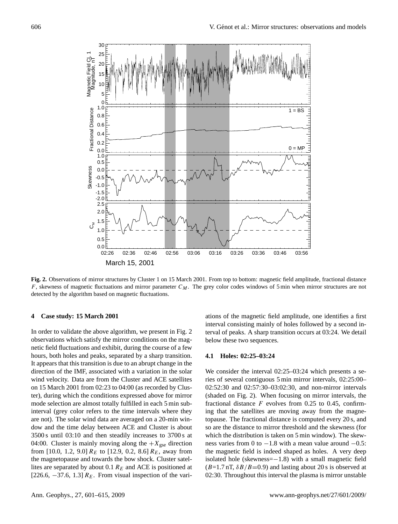

<span id="page-5-0"></span>**Fig. 2.** Observations of mirror structures by Cluster 1 on 15 March 2001. From top to bottom: magnetic field amplitude, fractional distance F, skewness of magnetic fluctuations and mirror parameter  $C_M$ . The grey color codes windows of 5 min when mirror structures are not detected by the algorithm based on magnetic fluctuations.

## **4 Case study: 15 March 2001**

In order to validate the above algorithm, we present in Fig. [2](#page-5-0) observations which satisfy the mirror conditions on the magnetic field fluctuations and exhibit, during the course of a few hours, both holes and peaks, separated by a sharp transition. It appears that this transition is due to an abrupt change in the direction of the IMF, associated with a variation in the solar wind velocity. Data are from the Cluster and ACE satellites on 15 March 2001 from 02:23 to 04:00 (as recorded by Cluster), during which the conditions expressed above for mirror mode selection are almost totally fulfilled in each 5 min subinterval (grey color refers to the time intervals where they are not). The solar wind data are averaged on a 20-min window and the time delay between ACE and Cluster is about 3500 s until 03:10 and then steadily increases to 3700 s at 04:00. Cluster is mainly moving along the  $+X_{\text{gse}}$  direction from [10.0, 1.2, 9.0]  $R_E$  to [12.9, 0.2, 8.6]  $R_E$ , away from the magnetopause and towards the bow shock. Cluster satellites are separated by about 0.1  $R_E$  and ACE is positioned at [226.6,  $-37.6$ , 1.3]  $R_E$ . From visual inspection of the vari-

ations of the magnetic field amplitude, one identifies a first interval consisting mainly of holes followed by a second interval of peaks. A sharp transition occurs at 03:24. We detail below these two sequences.

#### **4.1 Holes: 02:25–03:24**

We consider the interval 02:25–03:24 which presents a series of several contiguous 5 min mirror intervals, 02:25:00– 02:52:30 and 02:57:30–03:02:30, and non-mirror intervals (shaded on Fig. [2\)](#page-5-0). When focusing on mirror intervals, the fractional distance  $F$  evolves from 0.25 to 0.45, confirming that the satellites are moving away from the magnetopause. The fractional distance is computed every 20 s, and so are the distance to mirror threshold and the skewness (for which the distribution is taken on 5 min window). The skewness varies from 0 to  $-1.8$  with a mean value around  $-0.5$ : the magnetic field is indeed shaped as holes. A very deep isolated hole (skewness=−1.8) with a small magnetic field  $(B=1.7 \text{ nT}, \delta B/B=0.9)$  and lasting about 20 s is observed at 02:30. Throughout this interval the plasma is mirror unstable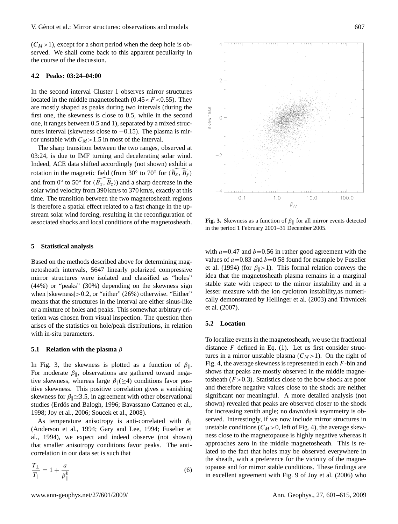$(C_M>1)$ , except for a short period when the deep hole is observed. We shall come back to this apparent peculiarity in the course of the discussion.

# **4.2 Peaks: 03:24–04:00**

In the second interval Cluster 1 observes mirror structures located in the middle magnetosheath  $(0.45 < F < 0.55)$ . They are mostly shaped as peaks during two intervals (during the first one, the skewness is close to 0.5, while in the second one, it ranges between 0.5 and 1), separated by a mixed structures interval (skewness close to  $-0.15$ ). The plasma is mirror unstable with  $C_M$ >1.5 in most of the interval.

The sharp transition between the two ranges, observed at 03:24, is due to IMF turning and decelerating solar wind. Indeed, ACE data shifted accordingly (not shown) exhibit a rotation in the magnetic field (from 30° to 70° for  $(\widehat{B_x, B_y})$ and from 0 $\degree$  to 50 $\degree$  for  $(\widehat{B_x, B_z})$ ) and a sharp decrease in the solar wind velocity from 390 km/s to 370 km/s, exactly at this time. The transition between the two magnetosheath regions is therefore a spatial effect related to a fast change in the upstream solar wind forcing, resulting in the reconfiguration of associated shocks and local conditions of the magnetosheath.

# **5 Statistical analysis**

Based on the methods described above for determining magnetosheath intervals, 5647 linearly polarized compressive mirror structures were isolated and classified as "holes" (44%) or "peaks" (30%) depending on the skewness sign when  $|skewness| > 0.2$ , or "either" (26%) otherwise. "Either" means that the structures in the interval are either sinus-like or a mixture of holes and peaks. This somewhat arbitrary criterion was chosen from visual inspection. The question then arises of the statistics on hole/peak distributions, in relation with in-situ parameters.

# **5.1 Relation with the plasma** β

In Fig. [3,](#page-6-0) the skewness is plotted as a function of  $\beta_{\parallel}$ . For moderate  $\beta_{\parallel}$ , observations are gathered toward negative skewness, whereas large  $\beta_{\parallel}(\geq 4)$  conditions favor positive skewness. This positive correlation gives a vanishing skewness for  $\beta$ <sub>|</sub>  $\approx$ 3.5, in agreement with other observational studies (Erdös and Balogh, [1996;](#page-13-8) [Bavassano Cattaneo et al.,](#page-13-7) [1998;](#page-13-7) [Joy et al.,](#page-13-9) [2006;](#page-13-9) [Soucek et al.,](#page-14-16) [2008\)](#page-14-16).

As temperature anisotropy is anti-correlated with  $\beta_{\parallel}$ [\(Anderson et al.,](#page-12-3) [1994;](#page-12-3) [Gary and Lee,](#page-13-28) [1994;](#page-13-28) [Fuselier et](#page-13-29) [al.,](#page-13-29) [1994\)](#page-13-29), we expect and indeed observe (not shown) that smaller anisotropy conditions favor peaks. The anticorrelation in our data set is such that

$$
\frac{T_{\perp}}{T_{\parallel}} = 1 + \frac{a}{\beta_{\parallel}^b} \tag{6}
$$



<span id="page-6-0"></span>**Fig. 3.** Skewness as a function of  $\beta_{\parallel}$  for all mirror events detected in the period 1 February 2001–31 December 2005.

with  $a=0.47$  and  $b=0.56$  in rather good agreement with the values of  $a=0.83$  and  $b=0.58$  found for example by [Fuselier](#page-13-29) [et al.](#page-13-29) [\(1994\)](#page-13-29) (for  $\beta$ <sub>k</sub>>1). This formal relation conveys the idea that the magnetosheath plasma remains in a marginal stable state with respect to the mirror instability and in a lesser measure with the ion cyclotron instability,as numeri-cally demonstrated by [Hellinger et al.](#page-13-30) [\(2003\)](#page-13-30) and Trávnícek [et al.](#page-14-8) [\(2007\)](#page-14-8).

# **5.2 Location**

To localize events in the magnetosheath, we use the fractional distance  $F$  defined in Eq. [\(1\)](#page-2-0). Let us first consider structures in a mirror unstable plasma  $(C_M>1)$ . On the right of Fig. [4,](#page-7-0) the average skewness is represented in each  $F$ -bin and shows that peaks are mostly observed in the middle magnetosheath  $(F > 0.3)$ . Statistics close to the bow shock are poor and therefore negative values close to the shock are neither significant nor meaningful. A more detailed analysis (not shown) revealed that peaks are observed closer to the shock for increasing zenith angle; no dawn/dusk asymmetry is observed. Interestingly, if we now include mirror structures in unstable conditions ( $C_M$ >0, left of Fig. [4\)](#page-7-0), the average skewness close to the magnetopause is highly negative whereas it approaches zero in the middle magnetosheath. This is related to the fact that holes may be observed everywhere in the sheath, with a preference for the vicinity of the magnetopause and for mirror stable conditions. These findings are in excellent agreement with Fig. 9 of [Joy et al.](#page-13-9) [\(2006\)](#page-13-9) who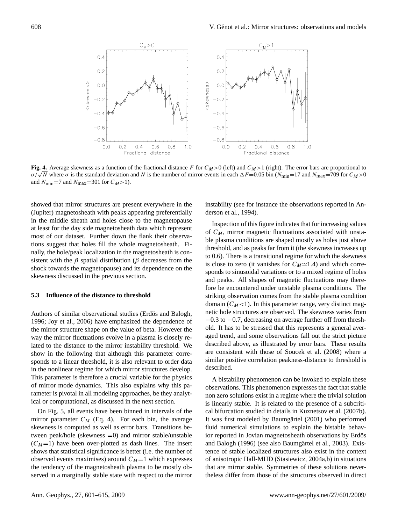

<span id="page-7-0"></span>**Fig. 4.** Average skewness as a function of the fractional distance F for  $C_M>0$  (left) and  $C_M>1$  (right). The error bars are proportional to **Fig. 4.** Average skewness as a function of the fractional distance F for  $C_M > 0$  (left) and  $C_M > 1$  (right). The error bars are proportional to  $\sigma/\sqrt{N}$  where  $\sigma$  is the standard deviation and N is the number of mirror and  $N_{\text{min}}$ =7 and  $N_{\text{max}}$ =301 for  $C_M$ >1).

showed that mirror structures are present everywhere in the (Jupiter) magnetosheath with peaks appearing preferentially in the middle sheath and holes close to the magnetopause at least for the day side magnetosheath data which represent most of our dataset. Further down the flank their observations suggest that holes fill the whole magnetosheath. Finally, the hole/peak localization in the magnetosheath is consistent with the  $\beta$  spatial distribution ( $\beta$  decreases from the shock towards the magnetopause) and its dependence on the skewness discussed in the previous section.

# **5.3 Influence of the distance to threshold**

Authors of similar observational studies (Erdös and Balogh, [1996;](#page-13-8) [Joy et al.,](#page-13-9) [2006\)](#page-13-9) have emphasized the dependence of the mirror structure shape on the value of beta. However the way the mirror fluctuations evolve in a plasma is closely related to the distance to the mirror instability threshold. We show in the following that although this parameter corresponds to a linear threshold, it is also relevant to order data in the nonlinear regime for which mirror structures develop. This parameter is therefore a crucial variable for the physics of mirror mode dynamics. This also explains why this parameter is pivotal in all modeling approaches, be they analytical or computational, as discussed in the next section.

On Fig. [5,](#page-8-0) all events have been binned in intervals of the mirror parameter  $C_M$  (Eq. [4\)](#page-3-1). For each bin, the average skewness is computed as well as error bars. Transitions between peak/hole (skewness =0) and mirror stable/unstable  $(C_M=1)$  have been over-plotted as dash lines. The insert shows that statistical significance is better (i.e. the number of observed events maximises) around  $C_M=1$  which expresses the tendency of the magnetosheath plasma to be mostly observed in a marginally stable state with respect to the mirror

instability (see for instance the observations reported in [An](#page-12-3)[derson et al.,](#page-12-3) [1994\)](#page-12-3).

Inspection of this figure indicates that for increasing values of  $C_M$ , mirror magnetic fluctuations associated with unstable plasma conditions are shaped mostly as holes just above threshold, and as peaks far from it (the skewness increases up to 0.6). There is a transitional regime for which the skewness is close to zero (it vanishes for  $C_M \simeq 1.4$ ) and which corresponds to sinusoidal variations or to a mixed regime of holes and peaks. All shapes of magnetic fluctuations may therefore be encountered under unstable plasma conditions. The striking observation comes from the stable plasma condition domain  $(C_M < 1)$ . In this parameter range, very distinct magnetic hole structures are observed. The skewness varies from −0.3 to −0.7, decreasing on average further off from threshold. It has to be stressed that this represents a general averaged trend, and some observations fall out the strict picture described above, as illustrated by error bars. These results are consistent with those of [Soucek et al.](#page-14-16) [\(2008\)](#page-14-16) where a similar positive correlation peakness-distance to threshold is described.

A bistability phenomenon can be invoked to explain these observations. This phenomenon expresses the fact that stable non zero solutions exist in a regime where the trivial solution is linearly stable. It is related to the presence of a subcritical bifurcation studied in details in [Kuznetsov et al.](#page-13-19) [\(2007b\)](#page-13-19). It was first modeled by Baumgärtel [\(2001\)](#page-13-16) who performed fluid numerical simulations to explain the bistable behavior reported in Jovian magnetosheath observations by Erdös [and Balogh](#page-13-8) [\(1996\)](#page-13-8) (see also Baumgärtel et al., [2003\)](#page-13-14). Existence of stable localized structures also exist in the context of anisotropic Hall-MHD [\(Stasiewicz,](#page-14-4) [2004a](#page-14-4)[,b\)](#page-14-5) in situations that are mirror stable. Symmetries of these solutions nevertheless differ from those of the structures observed in direct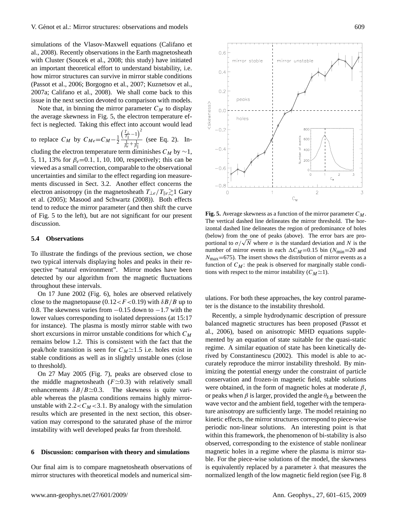simulations of the Vlasov-Maxwell equations [\(Califano et](#page-13-20) [al.,](#page-13-20) [2008\)](#page-13-20). Recently observations in the Earth magnetosheath with Cluster [\(Soucek et al.,](#page-14-16) [2008;](#page-14-16) this study) have initiated an important theoretical effort to understand bistability, i.e. how mirror structures can survive in mirror stable conditions [\(Passot et al.,](#page-14-9) [2006;](#page-14-9) [Borgogno et al.,](#page-13-17) [2007;](#page-13-17) [Kuznetsov et al.,](#page-13-18) [2007a;](#page-13-18) [Califano et al.,](#page-13-20) [2008\)](#page-13-20). We shall come back to this issue in the next section devoted to comparison with models.

Note that, in binning the mirror parameter  $C_M$  to display the average skewness in Fig. [5,](#page-8-0) the electron temperature effect is neglected. Taking this effect into account would lead

to replace 
$$
C_M
$$
 by  $C_{Me} = C_M - \frac{1}{2} \frac{\left(\frac{T_1}{T_{\parallel}} - 1\right)^2}{\frac{1}{Re} + \frac{1}{\beta_{\parallel}}}$  (see Eq. 2). In-

cluding the electron temperature term diminishes  $C_M$  by  $\sim$ 1, 5, 11, 13% for  $\beta_e = 0.1, 1, 10, 100$ , respectively; this can be viewed as a small correction, comparable to the observational uncertainties and similar to the effect regarding ion measurements discussed in Sect. 3.2. Another effect concerns the electron anisotropy (in the magnetosheath  $T_{\perp e}/T_{\parallel e} \gtrsim 1$  [Gary](#page-13-31) [et al.](#page-13-31) [\(2005\)](#page-13-31); [Masood and Schwartz](#page-14-21) [\(2008\)](#page-14-21)). Both effects tend to reduce the mirror parameter (and then shift the curve of Fig. [5](#page-8-0) to the left), but are not significant for our present discussion.

#### **5.4 Observations**

To illustrate the findings of the previous section, we chose two typical intervals displaying holes and peaks in their respective "natural environment". Mirror modes have been detected by our algorithm from the magnetic fluctuations throughout these intervals.

On 17 June 2002 (Fig. [6\)](#page-9-0), holes are observed relatively close to the magnetopause (0.12 <  $F$  < 0.19) with  $\delta B/B$  up to 0.8. The skewness varies from −0.15 down to −1.7 with the lower values corresponding to isolated depressions (at 15:17 for instance). The plasma is mostly mirror stable with two short excursions in mirror unstable conditions for which  $C_M$ remains below 1.2. This is consistent with the fact that the peak/hole transition is seen for  $C_M \simeq 1.5$  i.e. holes exist in stable conditions as well as in slightly unstable ones (close to threshold).

On 27 May 2005 (Fig. [7\)](#page-10-0), peaks are observed close to the middle magnetosheath ( $F \simeq 0.3$ ) with relatively small enhancements  $\delta B/B \simeq 0.3$ . The skewness is quite variable whereas the plasma conditions remains highly mirrorunstable with  $2.2 < C_M < 3.1$ . By analogy with the simulation results which are presented in the next section, this observation may correspond to the saturated phase of the mirror instability with well developed peaks far from threshold.

#### **6 Discussion: comparison with theory and simulations**

Our final aim is to compare magnetosheath observations of mirror structures with theoretical models and numerical sim-



<span id="page-8-0"></span>**Fig. 5.** Average skewness as a function of the mirror parameter  $C_M$ . The vertical dashed line delineates the mirror threshold. The horizontal dashed line delineates the region of predominance of holes (below) from the one of peaks (above). The error bars are pro-(below) from the one of peaks (above). The error bars are pro-<br>portional to  $\sigma/\sqrt{N}$  where  $\sigma$  is the standard deviation and N is the number of mirror events in each  $\Delta C_M$ =0.15 bin ( $N_{\text{min}}$ =20 and  $N_{\text{max}}$ =675). The insert shows the distribution of mirror events as a function of  $C_M$ : the peak is observed for marginally stable conditions with respect to the mirror instability  $(C_M \simeq 1)$ .

ulations. For both these approaches, the key control parameter is the distance to the instability threshold.

Recently, a simple hydrodynamic description of pressure balanced magnetic structures has been proposed [\(Passot et](#page-14-9) [al.,](#page-14-9) [2006\)](#page-14-9), based on anisotropic MHD equations supplemented by an equation of state suitable for the quasi-static regime. A similar equation of state has been kinetically derived by [Constantinescu](#page-13-32) [\(2002\)](#page-13-32). This model is able to accurately reproduce the mirror instability threshold. By minimizing the potential energy under the constraint of particle conservation and frozen-in magnetic field, stable solutions were obtained, in the form of magnetic holes at moderate  $\beta$ , or peaks when  $\beta$  is larger, provided the angle  $\theta_{kB}$  between the wave vector and the ambient field, together with the temperature anisotropy are sufficiently large. The model retaining no kinetic effects, the mirror structures correspond to piece-wise periodic non-linear solutions. An interesting point is that within this framework, the phenomenon of bi-stability is also observed, corresponding to the existence of stable nonlinear magnetic holes in a regime where the plasma is mirror stable. For the piece-wise solutions of the model, the skewness is equivalently replaced by a parameter  $\lambda$  that measures the normalized length of the low magnetic field region (see Fig. [8](#page-11-0)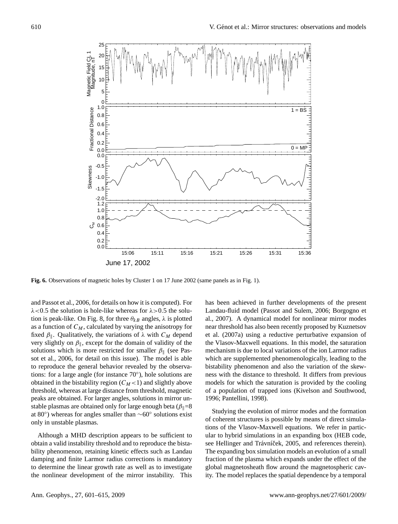

<span id="page-9-0"></span>**Fig. 6.** Observations of magnetic holes by Cluster 1 on 17 June 2002 (same panels as in Fig. 1).

and [Passot et al.,](#page-14-9) [2006,](#page-14-9) for details on how it is computed). For  $\lambda$ <0.5 the solution is hole-like whereas for  $\lambda$ >0.5 the solu-tion is peak-like. On Fig. [8,](#page-11-0) for three  $\theta_{kB}$  angles,  $\lambda$  is plotted as a function of  $C_M$ , calculated by varying the anisotropy for fixed  $\beta_{\parallel}$ . Qualitatively, the variations of  $\lambda$  with  $C_M$  depend very slightly on  $\beta_{\parallel}$ , except for the domain of validity of the solutions which is more restricted for smaller  $\beta_{\parallel}$  (see [Pas](#page-14-9)[sot et al.,](#page-14-9) [2006,](#page-14-9) for detail on this issue). The model is able to reproduce the general behavior revealed by the observations: for a large angle (for instance 70◦ ), hole solutions are obtained in the bistability region  $(C_M < 1)$  and slightly above threshold, whereas at large distance from threshold, magnetic peaks are obtained. For larger angles, solutions in mirror unstable plasmas are obtained only for large enough beta ( $\beta$ <sub>I</sub>=8 at 80◦ ) whereas for angles smaller than ∼60◦ solutions exist only in unstable plasmas.

Although a MHD description appears to be sufficient to obtain a valid instability threshold and to reproduce the bistability phenomenon, retaining kinetic effects such as Landau damping and finite Larmor radius corrections is mandatory to determine the linear growth rate as well as to investigate the nonlinear development of the mirror instability. This has been achieved in further developments of the present Landau-fluid model [\(Passot and Sulem,](#page-14-22) [2006;](#page-14-22) [Borgogno et](#page-13-17) [al.,](#page-13-17) [2007\)](#page-13-17). A dynamical model for nonlinear mirror modes near threshold has also been recently proposed by [Kuznetsov](#page-13-18) [et al.](#page-13-18) [\(2007a\)](#page-13-18) using a reductive perturbative expansion of the Vlasov-Maxwell equations. In this model, the saturation mechanism is due to local variations of the ion Larmor radius which are supplemented phenomenologically, leading to the bistability phenomenon and also the variation of the skewness with the distance to threshold. It differs from previous models for which the saturation is provided by the cooling of a population of trapped ions [\(Kivelson and Southwood,](#page-13-15) [1996;](#page-13-15) [Pantellini,](#page-14-7) [1998\)](#page-14-7).

Studying the evolution of mirror modes and the formation of coherent structures is possible by means of direct simulations of the Vlasov-Maxwell equations. We refer in particular to hybrid simulations in an expanding box (HEB code, see Hellinger and Trávníček, [2005,](#page-13-33) and references therein). The expanding box simulation models an evolution of a small fraction of the plasma which expands under the effect of the global magnetosheath flow around the magnetospheric cavity. The model replaces the spatial dependence by a temporal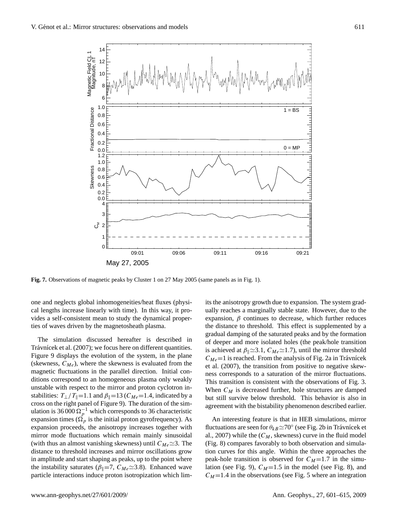

<span id="page-10-0"></span>**Fig. 7.** Observations of magnetic peaks by Cluster 1 on 27 May 2005 (same panels as in Fig. 1).

one and neglects global inhomogeneities/heat fluxes (physical lengths increase linearly with time). In this way, it provides a self-consistent mean to study the dynamical properties of waves driven by the magnetosheath plasma.

The simulation discussed hereafter is described in Trávnícek et al. [\(2007\)](#page-14-8); we focus here on different quantities. Figure [9](#page-12-5) displays the evolution of the system, in the plane (skewness,  $C_{Me}$ ), where the skewness is evaluated from the magnetic fluctuations in the parallel direction. Initial conditions correspond to an homogeneous plasma only weakly unstable with respect to the mirror and proton cyclotron instabilities:  $T_{\perp}/T_{\parallel}=1.1$  and  $\beta_{\parallel}=13$  (C<sub>Me</sub>=1.4, indicated by a cross on the right panel of Figure [9\)](#page-12-5). The duration of the simulation is 36 000  $\Omega_p^{-1}$  which corresponds to 36 characteristic expansion times ( $\Omega_p$  is the initial proton gyrofrequency). As expansion proceeds, the anisotropy increases together with mirror mode fluctuations which remain mainly sinusoidal (with thus an almost vanishing skewness) until  $C_{Me} \simeq 3$ . The distance to threshold increases and mirror oscillations grow in amplitude and start shaping as peaks, up to the point where the instability saturates ( $\beta_{\parallel}=7$ ,  $C_{Me} \simeq 3.8$ ). Enhanced wave particle interactions induce proton isotropization which limits the anisotropy growth due to expansion. The system gradually reaches a marginally stable state. However, due to the expansion,  $\beta$  continues to decrease, which further reduces the distance to threshold. This effect is supplemented by a gradual damping of the saturated peaks and by the formation of deeper and more isolated holes (the peak/hole transition is achieved at  $\beta_{\parallel} \simeq 3.1$ ,  $C_{Me} \simeq 1.7$ ), until the mirror threshold  $C_{Me}$ =1 is reached. From the analysis of Fig. 2a in Trávnícek [et al.](#page-14-8) [\(2007\)](#page-14-8), the transition from positive to negative skewness corresponds to a saturation of the mirror fluctuations. This transition is consistent with the observations of Fig. [3.](#page-6-0) When  $C_M$  is decreased further, hole structures are damped but still survive below threshold. This behavior is also in agreement with the bistability phenomenon described earlier.

An interesting feature is that in HEB simulations, mirror fluctuations are seen for  $\theta_{kB} \simeq 70^\circ$  (see Fig. 2b in Trávnícek et [al.,](#page-14-8) [2007\)](#page-14-8) while the  $(C_M,$  skewness) curve in the fluid model (Fig. [8\)](#page-11-0) compares favorably to both observation and simulation curves for this angle. Within the three approaches the peak-hole transition is observed for  $C_M=1.7$  in the simu-lation (see Fig. [9\)](#page-12-5),  $C_M=1.5$  in the model (see Fig. [8\)](#page-11-0), and  $C_M$ =1.4 in the observations (see Fig. [5](#page-8-0) where an integration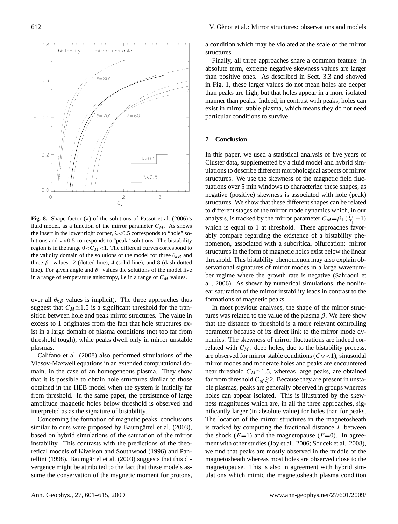

<span id="page-11-0"></span>**Fig. 8.** Shape factor  $(\lambda)$  of the solutions of [Passot et al.](#page-14-9)  $(2006)$ 's fluid model, as a function of the mirror parameter  $C_M$ . As shows the insert in the lower right corner,  $\lambda < 0.5$  corresponds to "hole" solutions and  $\lambda > 0.5$  corresponds to "peak" solutions. The bistability region is in the range  $0 < C_M < 1$ . The different curves correspond to the validity domain of the solutions of the model for three  $\theta_{kB}$  and three  $\beta_{\parallel}$  values: 2 (dotted line), 4 (solid line), and 8 (dash-dotted line). For given angle and  $\beta_{\parallel}$  values the solutions of the model live in a range of temperature anisotropy, i.e in a range of  $C_M$  values.

over all  $\theta_{kB}$  values is implicit). The three approaches thus suggest that  $C_M \simeq 1.5$  is a significant threshold for the transition between hole and peak mirror structures. The value in excess to 1 originates from the fact that hole structures exist in a large domain of plasma conditions (not too far from threshold tough), while peaks dwell only in mirror unstable plasmas.

[Califano et al.](#page-13-20) [\(2008\)](#page-13-20) also performed simulations of the Vlasov-Maxwell equations in an extended computational domain, in the case of an homogeneous plasma. They show that it is possible to obtain hole structures similar to those obtained in the HEB model when the system is initially far from threshold. In the same paper, the persistence of large amplitude magnetic holes below threshold is observed and interpreted as as the signature of bistability.

Concerning the formation of magnetic peaks, conclusions similar to ours were proposed by Baumgärtel et al.  $(2003)$ , based on hybrid simulations of the saturation of the mirror instability. This contrasts with the predictions of the theoretical models of [Kivelson and Southwood](#page-13-15) [\(1996\)](#page-13-15) and [Pan](#page-14-7)[tellini](#page-14-7) [\(1998\)](#page-14-7). Baumgärtel et al.  $(2003)$  suggests that this divergence might be attributed to the fact that these models assume the conservation of the magnetic moment for protons,

a condition which may be violated at the scale of the mirror structures.

Finally, all three approaches share a common feature: in absolute term, extreme negative skewness values are larger than positive ones. As described in Sect. 3.3 and showed in Fig. 1, these larger values do not mean holes are deeper than peaks are high, but that holes appear in a more isolated manner than peaks. Indeed, in contrast with peaks, holes can exist in mirror stable plasma, which means they do not need particular conditions to survive.

# **7 Conclusion**

In this paper, we used a statistical analysis of five years of Cluster data, supplemented by a fluid model and hybrid simulations to describe different morphological aspects of mirror structures. We use the skewness of the magnetic field fluctuations over 5 min windows to characterize these shapes, as negative (positive) skewness is associated with hole (peak) structures. We show that these different shapes can be related to different stages of the mirror mode dynamics which, in our analysis, is tracked by the mirror parameter  $C_M = \beta_\perp (\frac{T_\perp}{T_\parallel} - 1)$ which is equal to 1 at threshold. These approaches favorably compare regarding the existence of a bistability phenomenon, associated with a subcritical bifurcation: mirror structures in the form of magnetic holes exist below the linear threshold. This bistability phenomenon may also explain observational signatures of mirror modes in a large wavenumber regime where the growth rate is negative [\(Sahraoui et](#page-14-1) [al.,](#page-14-1) [2006\)](#page-14-1). As shown by numerical simulations, the nonlinear saturation of the mirror instability leads in contrast to the formations of magnetic peaks.

In most previous analyses, the shape of the mirror structures was related to the value of the plasma  $\beta$ . We here show that the distance to threshold is a more relevant controlling parameter because of its direct link to the mirror mode dynamics. The skewness of mirror fluctuations are indeed correlated with  $C_M$ : deep holes, due to the bistability process, are observed for mirror stable conditions  $(C_M < 1)$ , sinusoidal mirror modes and moderate holes and peaks are encountered near threshold  $C_M \simeq 1.5$ , whereas large peaks, are obtained far from threshold  $C_M \gtrsim 2$ . Because they are present in unstable plasmas, peaks are generally observed in groups whereas holes can appear isolated. This is illustrated by the skewness magnitudes which are, in all the three approaches, significantly larger (in absolute value) for holes than for peaks. The location of the mirror structures in the magnetosheath is tracked by computing the fractional distance  $F$  between the shock  $(F=1)$  and the magnetopause  $(F=0)$ . In agreement with other studies [\(Joy et al.,](#page-13-9) [2006;](#page-13-9) [Soucek et al.,](#page-14-16) [2008\)](#page-14-16), we find that peaks are mostly observed in the middle of the magnetosheath whereas most holes are observed close to the magnetopause. This is also in agreement with hybrid simulations which mimic the magnetosheath plasma condition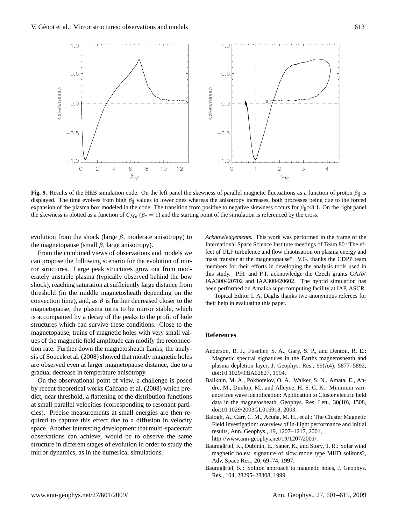

<span id="page-12-5"></span>**Fig. 9.** Results of the HEB simulation code. On the left panel the skewness of parallel magnetic fluctuations as a function of proton  $\beta_{\parallel}$  is displayed. The time evolves from high  $\beta_{\parallel}$  values to lower ones whereas the anisotropy increases, both processes being due to the forced expansion of the plasma box modeled in the code. The transition from positive to negative skewness occurs for  $\beta_{\parallel} \simeq 3.1$ . On the right panel the skewness is plotted as a function of  $C_{Me}$  ( $\beta_e = 1$ ) and the starting point of the simulation is referenced by the cross.

evolution from the shock (large  $\beta$ , moderate anisotropy) to the magnetopause (small  $\beta$ , large anisotropy).

From the combined views of observations and models we can propose the following scenario for the evolution of mirror structures. Large peak structures grow out from moderately unstable plasma (typically observed behind the bow shock), reaching saturation at sufficiently large distance from threshold (in the middle magnetosheath depending on the convection time), and, as  $\beta$  is further decreased closer to the magnetopause, the plasma turns to be mirror stable, which is accompanied by a decay of the peaks to the profit of hole structures which can survive these conditions. Close to the magnetopause, trains of magnetic holes with very small values of the magnetic field amplitude can modify the reconnection rate. Further down the magnetosheath flanks, the analysis of [Soucek et al.](#page-14-16) [\(2008\)](#page-14-16) showed that mostly magnetic holes are observed even at larger magnetopause distance, due to a gradual decrease in temperature anisotropy.

On the observational point of view, a challenge is posed by recent theoretical works [Califano et al.](#page-13-20) [\(2008\)](#page-13-20) which predict, near threshold, a flattening of the distribution functions at small parallel velocities (corresponding to resonant particles). Precise measurements at small energies are then required to capture this effect due to a diffusion in velocity space. Another interesting development that multi-spacecraft observations can achieve, would be to observe the same structure in different stages of evolution in order to study the mirror dynamics, as in the numerical simulations.

*Acknowledgements.* This work was performed in the frame of the International Space Science Institute meetings of Team 80 "The effect of ULF turbulence and flow chaotisation on plasma energy and mass transfer at the magnetopause". V.G. thanks the CDPP team members for their efforts in developing the analysis tools used in this study. P.H. and P.T. acknowledge the Czech grants GAAV IAA300420702 and IAA300420602. The hybrid simulation has been performed on Amalka supercomputing facility at IAP, ASCR.

Topical Editor I. A. Daglis thanks two anonymous referees for their help in evaluating this paper.

#### **References**

- <span id="page-12-3"></span>Anderson, B. J., Fuselier, S. A., Gary, S. P., and Denton, R. E.: Magnetic spectral signatures in the Earths magnetosheath and plasma depletion layer, J. Geophys. Res., 99(A4), 5877–5892, doi:10.1029/93JA02827, 1994.
- <span id="page-12-4"></span>Balikhin, M. A., Pokhotelov, O. A., Walker, S. N., Amata, E., Andre, M., Dunlop, M., and Alleyne, H. S. C. K.: Minimum variance free wave identification: Application to Cluster electric field data in the magnetosheath, Geophys. Res. Lett., 30(10), 1508, doi:10.1029/2003GL016918, 2003.
- <span id="page-12-2"></span>Balogh, A., Carr, C. M., Acuña, M. H., et al.: The Cluster Magnetic Field Investigation: overview of in-flight performance and initial results, Ann. Geophys., 19, 1207–1217, 2001, [http://www.ann-geophys.net/19/1207/2001/.](http://www.ann-geophys.net/19/1207/2001/)
- <span id="page-12-0"></span>Baumgärtel, K., Dubinin, E., Sauer, K., and Story, T. R.: Solar wind magnetic holes: signature of slow mode type MHD solitons?, Adv. Space Res., 20, 69–74, 1997.
- <span id="page-12-1"></span>Baumgärtel, K.: Soliton approach to magnetic holes, J. Geophys. Res., 104, 28295–28308, 1999.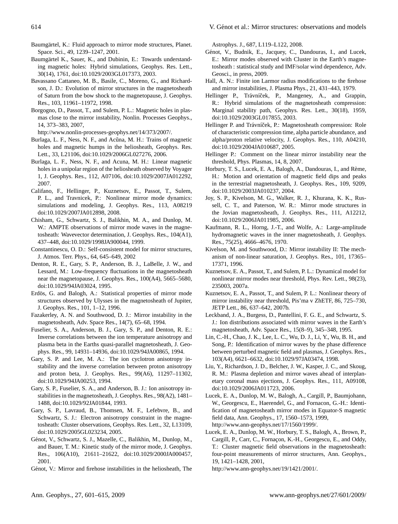<span id="page-13-16"></span>Baumgärtel, K.: Fluid approach to mirror mode structures, Planet. Space. Sci., 49, 1239–1247, 2001.

- <span id="page-13-14"></span>Baumgärtel K., Sauer, K., and Dubinin, E.: Towards understanding magnetic holes: Hybrid simulations, Geophys. Res. Lett., 30(14), 1761, doi:10.1029/2003GL017373, 2003.
- <span id="page-13-7"></span>Bavassano Cattaneo, M. B., Basile, C., Moreno, G., and Richardson, J. D.: Evolution of mirror structures in the magnetosheath of Saturn from the bow shock to the magnetopause, J. Geophys. Res., 103, 11961–11972, 1998.
- <span id="page-13-17"></span>Borgogno, D., Passot, T., and Sulem, P. L.: Magnetic holes in plasmas close to the mirror instability, Nonlin. Processes Geophys., 14, 373–383, 2007,

[http://www.nonlin-processes-geophys.net/14/373/2007/.](http://www.nonlin-processes-geophys.net/14/373/2007/)

- <span id="page-13-3"></span>Burlaga, L. F., Ness, N. F., and Acuna, M. H.: Trains of magnetic holes and magnetic humps in the heliosheath, Geophys. Res. Lett., 33, L21106, doi:10.1029/2006GL027276, 2006.
- <span id="page-13-4"></span>Burlaga, L. F., Ness, N. F., and Acuna, M. H.: Linear magnetic holes in a unipolar region of the heliosheath observed by Voyager 1, J. Geophys. Res., 112, A07106, doi:10.1029/2007JA012292, 2007.
- <span id="page-13-20"></span>Califano, F., Hellinger, P., Kuznetsov, E., Passot, T., Sulem, P. L., and Travnicek, P.: Nonlinear mirror mode dynamics: simulations and modeling, J. Geophys. Res., 113, A08219 doi:10.1029/2007JA012898, 2008.
- <span id="page-13-24"></span>Chisham, G., Schwartz, S. J., Balikhin, M. A., and Dunlop, M. W.: AMPTE observations of mirror mode waves in the magnetosheath: Wavevector determination, J. Geophys. Res., 104(A1), 437–448, doi:10.1029/1998JA900044, 1999.
- <span id="page-13-32"></span>Constantinescu, O. D.: Self-consistent model for mirror structures, J. Atmos. Terr. Phys., 64, 645–649, 2002
- <span id="page-13-23"></span>Denton, R. E., Gary, S. P., Anderson, B. J., LaBelle, J. W., and Lessard, M.: Low-frequency fluctuations in the magnetosheath near the magnetopause, J. Geophys. Res., 100(A4), 5665–5680, doi:10.1029/94JA03024, 1995.
- <span id="page-13-8"></span>Erdös, G. and Balogh, A.: Statistical properties of mirror mode structures observed by Ulysses in the magnetosheath of Jupiter, J. Geophys. Res., 101, 1–12, 1996.
- <span id="page-13-0"></span>Fazakerley, A. N. and Southwood, D. J.: Mirror instability in the magnetosheath, Adv. Space Res., 14(7), 65–68, 1994.
- <span id="page-13-29"></span>Fuselier, S. A., Anderson, B. J., Gary, S. P., and Denton, R. E.: Inverse correlations between the ion temperature anisotropy and plasma beta in the Earths quasi-parallel magnetosheath, J. Geophys. Res., 99, 14931–14936, doi:10.1029/94JA00865, 1994.
- <span id="page-13-28"></span>Gary, S. P. and Lee, M. A.: The ion cyclotron anisotropy instability and the inverse correlation between proton anisotropy and proton beta, J. Geophys. Res., 99(A6), 11297–11302, doi:10.1029/94JA00253, 1994.
- <span id="page-13-22"></span>Gary, S. P., Fuselier, S. A., and Anderson, B. J.: Ion anisotropy instabilities in the magnetosheath, J. Geophys. Res., 98(A2), 1481– 1488, doi:10.1029/92JA01844, 1993.
- <span id="page-13-31"></span>Gary, S. P., Lavraud, B., Thomsen, M. F., Lefebvre, B., and Schwartz, S. J.: Electron anisotropy constraint in the magnetosheath: Cluster observations, Geophys. Res. Lett., 32, L13109, doi:10.1029/2005GL023234, 2005.
- <span id="page-13-13"></span>Génot, V., Schwartz, S. J., Mazelle, C., Balikhin, M., Dunlop, M., and Bauer, T. M.: Kinetic study of the mirror mode, J. Geophys. Res., 106(A10), 21611–21622, doi:10.1029/2000JA000457, 2001.
- <span id="page-13-5"></span>Génot, V.: Mirror and firehose instabilities in the heliosheath, The

Astrophys. J., 687, L119–L122, 2008.

- <span id="page-13-21"></span>Génot, V., Budnik, E., Jacquey, C., Dandouras, I., and Lucek, E.: Mirror modes observed with Cluster in the Earth's magnetosheath : statistical study and IMF/solar wind dependence, Adv. Geosci., in press, 2009.
- <span id="page-13-26"></span>Hall, A. N.: Finite ion Larmor radius modifications to the firehose and mirror instabilities, J. Plasma Phys., 21, 431–443, 1979.
- <span id="page-13-30"></span>Hellinger P., Trávníček, P., Mangeney, A., and Grappin, R.: Hybrid simulations of the magnetosheath compression: Marginal stability path, Geophys. Res. Lett., 30(18), 1959, doi:10.1029/2003GL017855, 2003.
- <span id="page-13-33"></span>Hellinger P. and Trávníček, P.: Magnetosheath compression: Role of characteristic compression time, alpha particle abundance, and alpha/proton relative velocity, J. Geophys. Res., 110, A04210, doi:10.1029/2004JA010687, 2005.
- <span id="page-13-27"></span>Hellinger P.: Comment on the linear mirror instability near the threshold, Phys. Plasmas, 14, 8, 2007.
- <span id="page-13-2"></span>Horbury, T. S., Lucek, E. A., Balogh, A., Dandouras, I., and Rème, H.: Motion and orientation of magnetic field dips and peaks in the terrestrial magnetosheath, J. Geophys. Res., 109, 9209, doi:10.1029/2003JA010237, 2004.
- <span id="page-13-9"></span>Joy, S. P., Kivelson, M. G., Walker, R. J., Khurana, K. K., Russell, C. T., and Paterson, W. R.: Mirror mode structures in the Jovian magnetosheath, J. Geophys. Res., 111, A12212, doi:10.1029/2006JA011985, 2006.
- <span id="page-13-10"></span>Kaufmann, R. L., Horng, J.-T., and Wolfe, A.: Large-amplitude hydromagnetic waves in the inner magnetosheath, J. Geophys. Res., 75(25), 4666–4676, 1970.
- <span id="page-13-15"></span>Kivelson, M. and Southwood, D.: Mirror instability II: The mechanism of non-linear saturation, J. Geophys. Res., 101, 17365– 17371, 1996.
- <span id="page-13-18"></span>Kuznetsov, E. A., Passot, T., and Sulem, P. L.: Dynamical model for nonlinear mirror modes near threshold, Phys. Rev. Lett., 98(23), 235003, 2007a.
- <span id="page-13-19"></span>Kuznetsov, E. A., Passot, T., and Sulem, P. L.: Nonlinear theory of mirror instability near threshold, Pis'ma v ZhETF, 86, 725–730, JETP Lett., 86, 637–642, 2007b.
- <span id="page-13-11"></span>Leckband, J. A., Burgess, D., Pantellini, F. G. E., and Schwartz, S. J.: Ion distributions associated with mirror waves in the Earth's magnetosheath, Adv. Space Res., 15(8–9), 345–348, 1995.
- <span id="page-13-25"></span>Lin, C.-H., Chao, J. K., Lee, L. C., Wu, D. J., Li, Y., Wu, B. H., and Song, P.: Identification of mirror waves by the phase difference between perturbed magnetic field and plasmas, J. Geophys. Res., 103(A4), 6621–6632, doi:10.1029/97JA03474, 1998.
- <span id="page-13-6"></span>Liu, Y., Richardson, J. D., Belcher, J. W., Kasper, J. C., and Skoug, R. M.: Plasma depletion and mirror waves ahead of interplanetary coronal mass ejections, J. Geophys. Res., 111, A09108, doi:10.1029/2006JA011723, 2006.
- <span id="page-13-12"></span>Lucek, E. A., Dunlop, M. W., Balogh, A., Cargill, P., Baumjohann, W., Georgescu, E., Haerendel, G., and Fornacon, G.-H.: Identification of magnetosheath mirror modes in Equator-S magnetic field data, Ann. Geophys., 17, 1560–1573, 1999, [http://www.ann-geophys.net/17/1560/1999/.](http://www.ann-geophys.net/17/1560/1999/)
- <span id="page-13-1"></span>Lucek, E. A., Dunlop, M. W., Horbury, T. S., Balogh, A., Brown, P., Cargill, P., Carr, C., Fornaçon, K.-H., Georgescu, E., and Oddy, T.: Cluster magnetic field observations in the magnetosheath: four-point measurements of mirror structures, Ann. Geophys., 19, 1421–1428, 2001,
	- [http://www.ann-geophys.net/19/1421/2001/.](http://www.ann-geophys.net/19/1421/2001/)